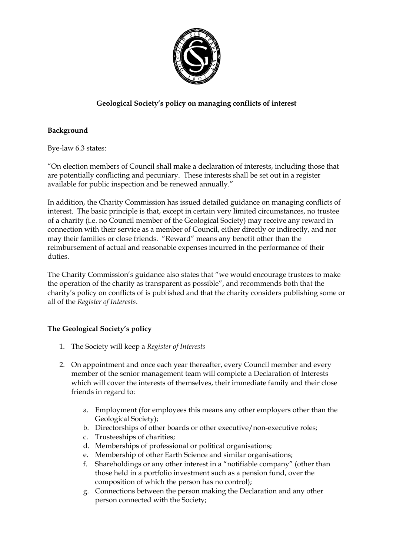

## **Geological Society's policy on managing conflicts of interest**

## **Background**

Bye-law 6.3 states:

"On election members of Council shall make a declaration of interests, including those that are potentially conflicting and pecuniary. These interests shall be set out in a register available for public inspection and be renewed annually."

In addition, the Charity Commission has issued detailed guidance on managing conflicts of interest. The basic principle is that, except in certain very limited circumstances, no trustee of a charity (i.e. no Council member of the Geological Society) may receive any reward in connection with their service as a member of Council, either directly or indirectly, and nor may their families or close friends. "Reward" means any benefit other than the reimbursement of actual and reasonable expenses incurred in the performance of their duties.

The Charity Commission's guidance also states that "we would encourage trustees to make the operation of the charity as transparent as possible", and recommends both that the charity's policy on conflicts of is published and that the charity considers publishing some or all of the *Register of Interests*.

## **The Geological Society's policy**

- 1. The Society will keep a *Register of Interests*
- 2. On appointment and once each year thereafter, every Council member and every member of the senior management team will complete a Declaration of Interests which will cover the interests of themselves, their immediate family and their close friends in regard to:
	- a. Employment (for employees this means any other employers other than the Geological Society);
	- b. Directorships of other boards or other executive/non-executive roles;
	- c. Trusteeships of charities;
	- d. Memberships of professional or political organisations;
	- e. Membership of other Earth Science and similar organisations;
	- f. Shareholdings or any other interest in a "notifiable company" (other than those held in a portfolio investment such as a pension fund, over the composition of which the person has no control);
	- g. Connections between the person making the Declaration and any other person connected with the Society;